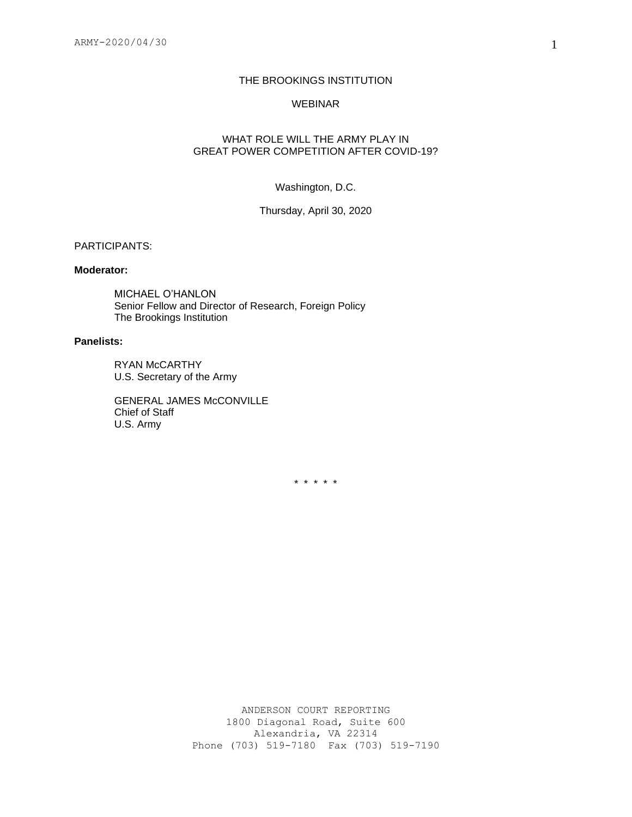### THE BROOKINGS INSTITUTION

### WEBINAR

## WHAT ROLE WILL THE ARMY PLAY IN GREAT POWER COMPETITION AFTER COVID-19?

### Washington, D.C.

Thursday, April 30, 2020

## PARTICIPANTS:

#### **Moderator:**

MICHAEL O'HANLON Senior Fellow and Director of Research, Foreign Policy The Brookings Institution

## **Panelists:**

RYAN McCARTHY U.S. Secretary of the Army

GENERAL JAMES McCONVILLE Chief of Staff U.S. Army

\* \* \* \* \*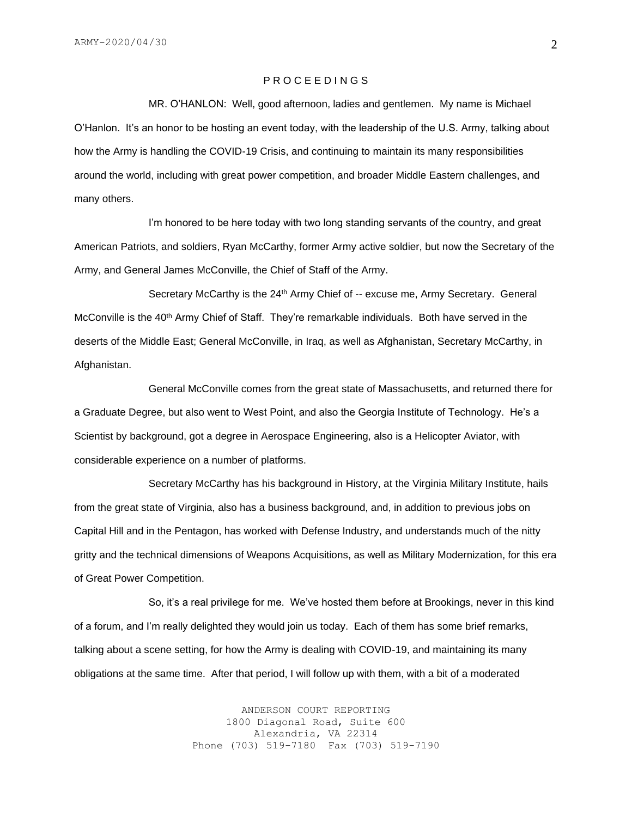## P R O C E E D I N G S

MR. O'HANLON: Well, good afternoon, ladies and gentlemen. My name is Michael O'Hanlon. It's an honor to be hosting an event today, with the leadership of the U.S. Army, talking about how the Army is handling the COVID-19 Crisis, and continuing to maintain its many responsibilities around the world, including with great power competition, and broader Middle Eastern challenges, and many others.

I'm honored to be here today with two long standing servants of the country, and great American Patriots, and soldiers, Ryan McCarthy, former Army active soldier, but now the Secretary of the Army, and General James McConville, the Chief of Staff of the Army.

Secretary McCarthy is the 24<sup>th</sup> Army Chief of -- excuse me, Army Secretary. General McConville is the 40<sup>th</sup> Army Chief of Staff. They're remarkable individuals. Both have served in the deserts of the Middle East; General McConville, in Iraq, as well as Afghanistan, Secretary McCarthy, in Afghanistan.

General McConville comes from the great state of Massachusetts, and returned there for a Graduate Degree, but also went to West Point, and also the Georgia Institute of Technology. He's a Scientist by background, got a degree in Aerospace Engineering, also is a Helicopter Aviator, with considerable experience on a number of platforms.

Secretary McCarthy has his background in History, at the Virginia Military Institute, hails from the great state of Virginia, also has a business background, and, in addition to previous jobs on Capital Hill and in the Pentagon, has worked with Defense Industry, and understands much of the nitty gritty and the technical dimensions of Weapons Acquisitions, as well as Military Modernization, for this era of Great Power Competition.

So, it's a real privilege for me. We've hosted them before at Brookings, never in this kind of a forum, and I'm really delighted they would join us today. Each of them has some brief remarks, talking about a scene setting, for how the Army is dealing with COVID-19, and maintaining its many obligations at the same time. After that period, I will follow up with them, with a bit of a moderated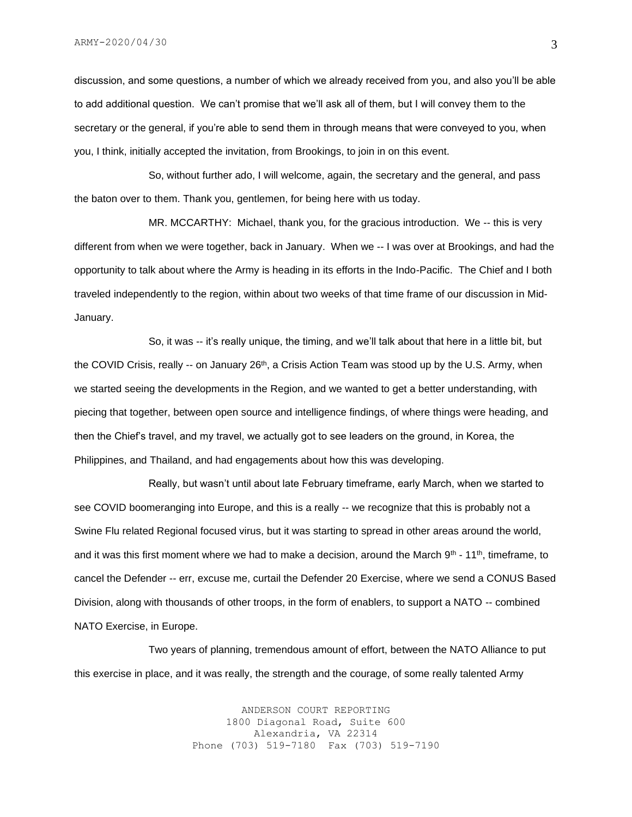discussion, and some questions, a number of which we already received from you, and also you'll be able to add additional question. We can't promise that we'll ask all of them, but I will convey them to the secretary or the general, if you're able to send them in through means that were conveyed to you, when you, I think, initially accepted the invitation, from Brookings, to join in on this event.

So, without further ado, I will welcome, again, the secretary and the general, and pass the baton over to them. Thank you, gentlemen, for being here with us today.

MR. MCCARTHY: Michael, thank you, for the gracious introduction. We -- this is very different from when we were together, back in January. When we -- I was over at Brookings, and had the opportunity to talk about where the Army is heading in its efforts in the Indo-Pacific. The Chief and I both traveled independently to the region, within about two weeks of that time frame of our discussion in Mid-January.

So, it was -- it's really unique, the timing, and we'll talk about that here in a little bit, but the COVID Crisis, really  $-$  on January 26<sup>th</sup>, a Crisis Action Team was stood up by the U.S. Army, when we started seeing the developments in the Region, and we wanted to get a better understanding, with piecing that together, between open source and intelligence findings, of where things were heading, and then the Chief's travel, and my travel, we actually got to see leaders on the ground, in Korea, the Philippines, and Thailand, and had engagements about how this was developing.

Really, but wasn't until about late February timeframe, early March, when we started to see COVID boomeranging into Europe, and this is a really -- we recognize that this is probably not a Swine Flu related Regional focused virus, but it was starting to spread in other areas around the world, and it was this first moment where we had to make a decision, around the March  $9<sup>th</sup> - 11<sup>th</sup>$ , timeframe, to cancel the Defender -- err, excuse me, curtail the Defender 20 Exercise, where we send a CONUS Based Division, along with thousands of other troops, in the form of enablers, to support a NATO -- combined NATO Exercise, in Europe.

Two years of planning, tremendous amount of effort, between the NATO Alliance to put this exercise in place, and it was really, the strength and the courage, of some really talented Army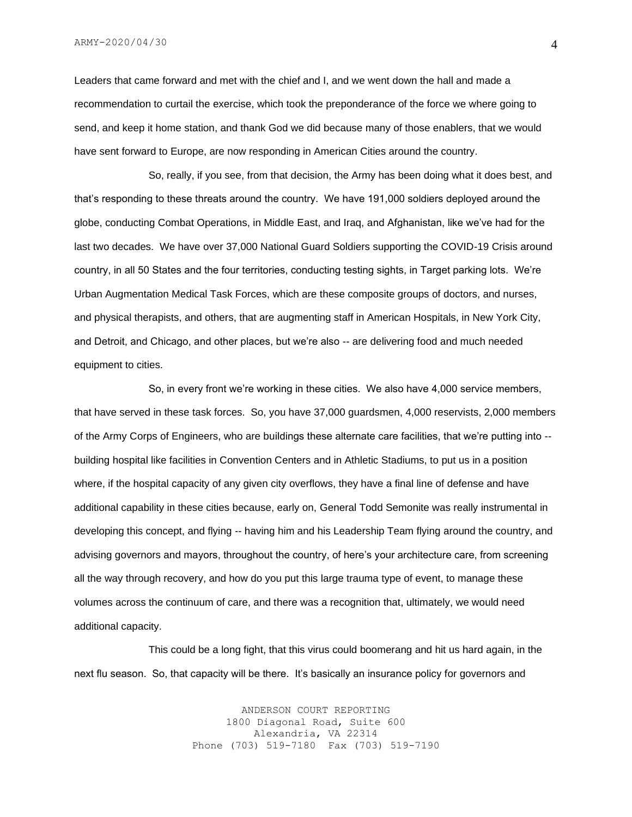ARMY-2020/04/30

Leaders that came forward and met with the chief and I, and we went down the hall and made a recommendation to curtail the exercise, which took the preponderance of the force we where going to send, and keep it home station, and thank God we did because many of those enablers, that we would have sent forward to Europe, are now responding in American Cities around the country.

So, really, if you see, from that decision, the Army has been doing what it does best, and that's responding to these threats around the country. We have 191,000 soldiers deployed around the globe, conducting Combat Operations, in Middle East, and Iraq, and Afghanistan, like we've had for the last two decades. We have over 37,000 National Guard Soldiers supporting the COVID-19 Crisis around country, in all 50 States and the four territories, conducting testing sights, in Target parking lots. We're Urban Augmentation Medical Task Forces, which are these composite groups of doctors, and nurses, and physical therapists, and others, that are augmenting staff in American Hospitals, in New York City, and Detroit, and Chicago, and other places, but we're also -- are delivering food and much needed equipment to cities.

So, in every front we're working in these cities. We also have 4,000 service members, that have served in these task forces. So, you have 37,000 guardsmen, 4,000 reservists, 2,000 members of the Army Corps of Engineers, who are buildings these alternate care facilities, that we're putting into - building hospital like facilities in Convention Centers and in Athletic Stadiums, to put us in a position where, if the hospital capacity of any given city overflows, they have a final line of defense and have additional capability in these cities because, early on, General Todd Semonite was really instrumental in developing this concept, and flying -- having him and his Leadership Team flying around the country, and advising governors and mayors, throughout the country, of here's your architecture care, from screening all the way through recovery, and how do you put this large trauma type of event, to manage these volumes across the continuum of care, and there was a recognition that, ultimately, we would need additional capacity.

This could be a long fight, that this virus could boomerang and hit us hard again, in the next flu season. So, that capacity will be there. It's basically an insurance policy for governors and

> ANDERSON COURT REPORTING 1800 Diagonal Road, Suite 600 Alexandria, VA 22314 Phone (703) 519-7180 Fax (703) 519-7190

4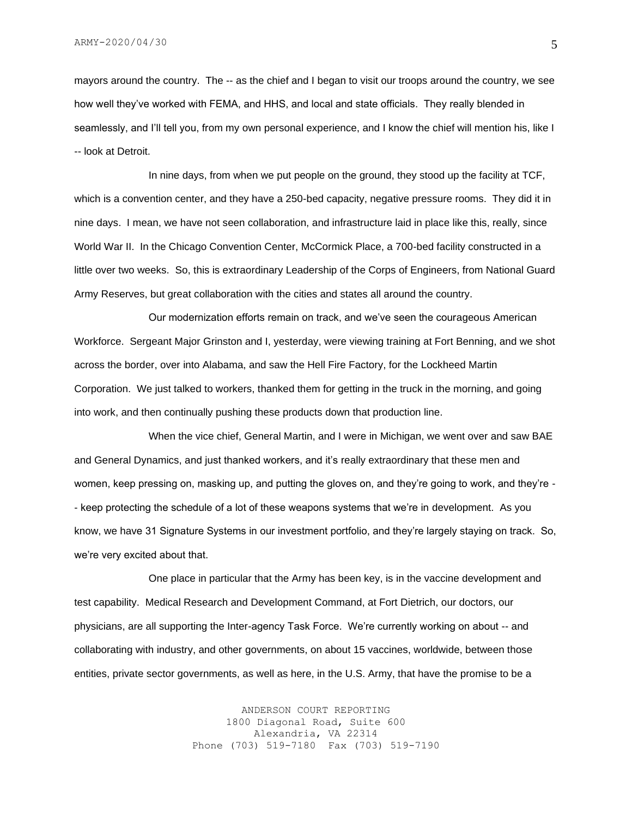mayors around the country. The -- as the chief and I began to visit our troops around the country, we see how well they've worked with FEMA, and HHS, and local and state officials. They really blended in seamlessly, and I'll tell you, from my own personal experience, and I know the chief will mention his, like I -- look at Detroit.

In nine days, from when we put people on the ground, they stood up the facility at TCF, which is a convention center, and they have a 250-bed capacity, negative pressure rooms. They did it in nine days. I mean, we have not seen collaboration, and infrastructure laid in place like this, really, since World War II. In the Chicago Convention Center, McCormick Place, a 700-bed facility constructed in a little over two weeks. So, this is extraordinary Leadership of the Corps of Engineers, from National Guard Army Reserves, but great collaboration with the cities and states all around the country.

Our modernization efforts remain on track, and we've seen the courageous American Workforce. Sergeant Major Grinston and I, yesterday, were viewing training at Fort Benning, and we shot across the border, over into Alabama, and saw the Hell Fire Factory, for the Lockheed Martin Corporation. We just talked to workers, thanked them for getting in the truck in the morning, and going into work, and then continually pushing these products down that production line.

When the vice chief, General Martin, and I were in Michigan, we went over and saw BAE and General Dynamics, and just thanked workers, and it's really extraordinary that these men and women, keep pressing on, masking up, and putting the gloves on, and they're going to work, and they're - - keep protecting the schedule of a lot of these weapons systems that we're in development. As you know, we have 31 Signature Systems in our investment portfolio, and they're largely staying on track. So, we're very excited about that.

One place in particular that the Army has been key, is in the vaccine development and test capability. Medical Research and Development Command, at Fort Dietrich, our doctors, our physicians, are all supporting the Inter-agency Task Force. We're currently working on about -- and collaborating with industry, and other governments, on about 15 vaccines, worldwide, between those entities, private sector governments, as well as here, in the U.S. Army, that have the promise to be a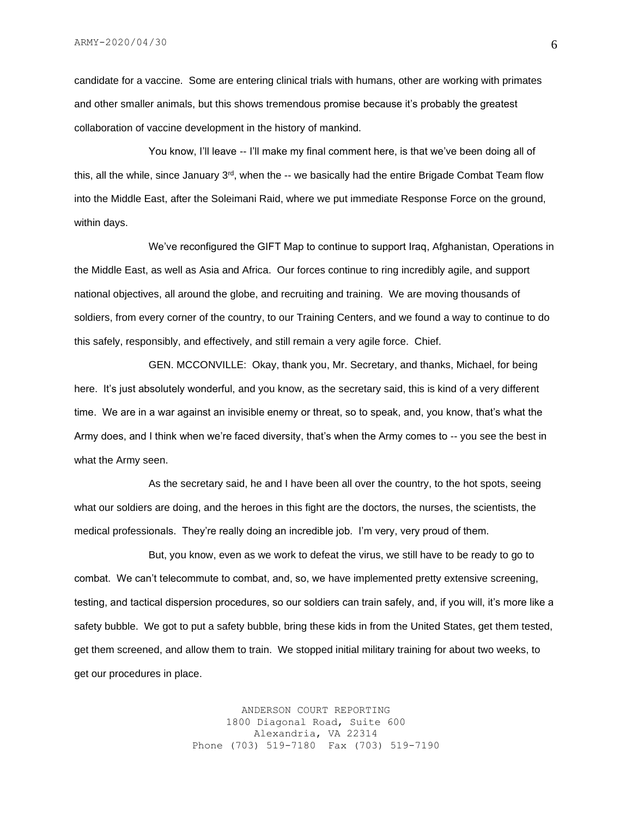candidate for a vaccine. Some are entering clinical trials with humans, other are working with primates and other smaller animals, but this shows tremendous promise because it's probably the greatest collaboration of vaccine development in the history of mankind.

You know, I'll leave -- I'll make my final comment here, is that we've been doing all of this, all the while, since January  $3^{rd}$ , when the  $-$ - we basically had the entire Brigade Combat Team flow into the Middle East, after the Soleimani Raid, where we put immediate Response Force on the ground, within days.

We've reconfigured the GIFT Map to continue to support Iraq, Afghanistan, Operations in the Middle East, as well as Asia and Africa. Our forces continue to ring incredibly agile, and support national objectives, all around the globe, and recruiting and training. We are moving thousands of soldiers, from every corner of the country, to our Training Centers, and we found a way to continue to do this safely, responsibly, and effectively, and still remain a very agile force. Chief.

GEN. MCCONVILLE: Okay, thank you, Mr. Secretary, and thanks, Michael, for being here. It's just absolutely wonderful, and you know, as the secretary said, this is kind of a very different time. We are in a war against an invisible enemy or threat, so to speak, and, you know, that's what the Army does, and I think when we're faced diversity, that's when the Army comes to -- you see the best in what the Army seen.

As the secretary said, he and I have been all over the country, to the hot spots, seeing what our soldiers are doing, and the heroes in this fight are the doctors, the nurses, the scientists, the medical professionals. They're really doing an incredible job. I'm very, very proud of them.

But, you know, even as we work to defeat the virus, we still have to be ready to go to combat. We can't telecommute to combat, and, so, we have implemented pretty extensive screening, testing, and tactical dispersion procedures, so our soldiers can train safely, and, if you will, it's more like a safety bubble. We got to put a safety bubble, bring these kids in from the United States, get them tested, get them screened, and allow them to train. We stopped initial military training for about two weeks, to get our procedures in place.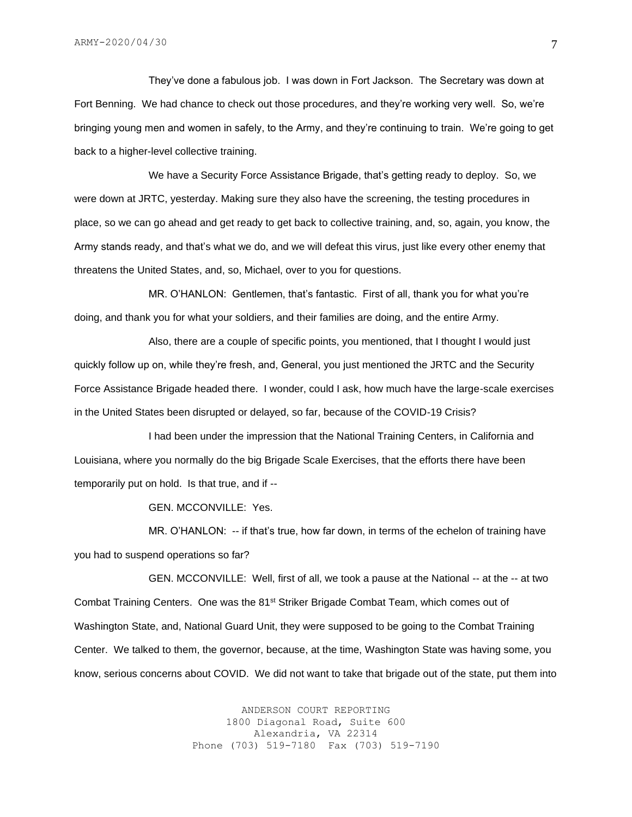They've done a fabulous job. I was down in Fort Jackson. The Secretary was down at Fort Benning. We had chance to check out those procedures, and they're working very well. So, we're bringing young men and women in safely, to the Army, and they're continuing to train. We're going to get back to a higher-level collective training.

We have a Security Force Assistance Brigade, that's getting ready to deploy. So, we were down at JRTC, yesterday. Making sure they also have the screening, the testing procedures in place, so we can go ahead and get ready to get back to collective training, and, so, again, you know, the Army stands ready, and that's what we do, and we will defeat this virus, just like every other enemy that threatens the United States, and, so, Michael, over to you for questions.

MR. O'HANLON: Gentlemen, that's fantastic. First of all, thank you for what you're doing, and thank you for what your soldiers, and their families are doing, and the entire Army.

Also, there are a couple of specific points, you mentioned, that I thought I would just quickly follow up on, while they're fresh, and, General, you just mentioned the JRTC and the Security Force Assistance Brigade headed there. I wonder, could I ask, how much have the large-scale exercises in the United States been disrupted or delayed, so far, because of the COVID-19 Crisis?

I had been under the impression that the National Training Centers, in California and Louisiana, where you normally do the big Brigade Scale Exercises, that the efforts there have been temporarily put on hold. Is that true, and if --

GEN. MCCONVILLE: Yes.

MR. O'HANLON: -- if that's true, how far down, in terms of the echelon of training have you had to suspend operations so far?

GEN. MCCONVILLE: Well, first of all, we took a pause at the National -- at the -- at two Combat Training Centers. One was the 81st Striker Brigade Combat Team, which comes out of Washington State, and, National Guard Unit, they were supposed to be going to the Combat Training Center. We talked to them, the governor, because, at the time, Washington State was having some, you know, serious concerns about COVID. We did not want to take that brigade out of the state, put them into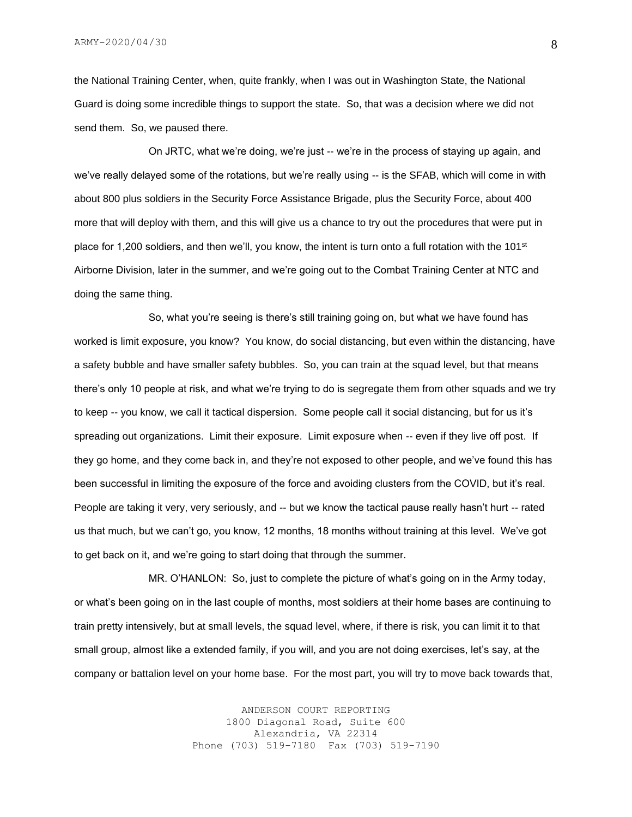the National Training Center, when, quite frankly, when I was out in Washington State, the National Guard is doing some incredible things to support the state. So, that was a decision where we did not send them. So, we paused there.

On JRTC, what we're doing, we're just -- we're in the process of staying up again, and we've really delayed some of the rotations, but we're really using -- is the SFAB, which will come in with about 800 plus soldiers in the Security Force Assistance Brigade, plus the Security Force, about 400 more that will deploy with them, and this will give us a chance to try out the procedures that were put in place for 1,200 soldiers, and then we'll, you know, the intent is turn onto a full rotation with the 101<sup>st</sup> Airborne Division, later in the summer, and we're going out to the Combat Training Center at NTC and doing the same thing.

So, what you're seeing is there's still training going on, but what we have found has worked is limit exposure, you know? You know, do social distancing, but even within the distancing, have a safety bubble and have smaller safety bubbles. So, you can train at the squad level, but that means there's only 10 people at risk, and what we're trying to do is segregate them from other squads and we try to keep -- you know, we call it tactical dispersion. Some people call it social distancing, but for us it's spreading out organizations. Limit their exposure. Limit exposure when -- even if they live off post. If they go home, and they come back in, and they're not exposed to other people, and we've found this has been successful in limiting the exposure of the force and avoiding clusters from the COVID, but it's real. People are taking it very, very seriously, and -- but we know the tactical pause really hasn't hurt -- rated us that much, but we can't go, you know, 12 months, 18 months without training at this level. We've got to get back on it, and we're going to start doing that through the summer.

MR. O'HANLON: So, just to complete the picture of what's going on in the Army today, or what's been going on in the last couple of months, most soldiers at their home bases are continuing to train pretty intensively, but at small levels, the squad level, where, if there is risk, you can limit it to that small group, almost like a extended family, if you will, and you are not doing exercises, let's say, at the company or battalion level on your home base. For the most part, you will try to move back towards that,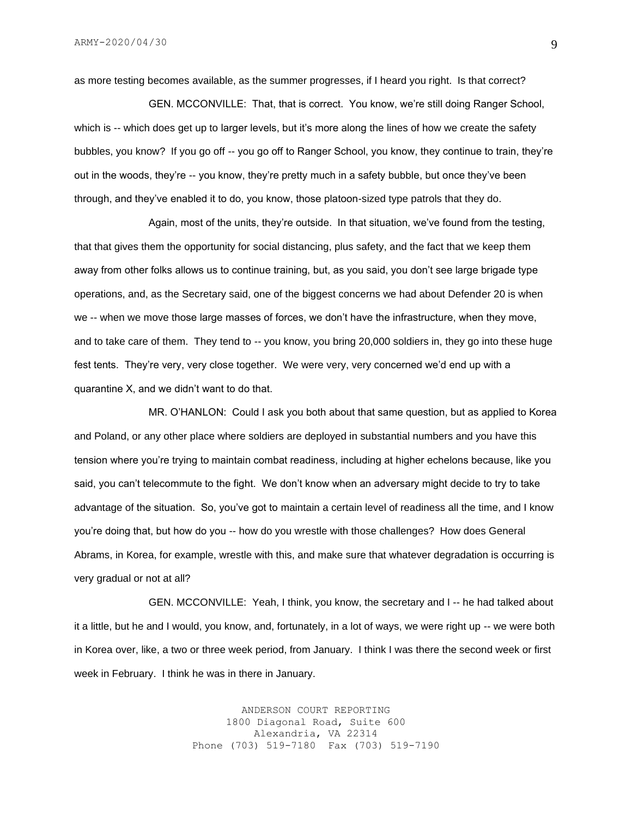as more testing becomes available, as the summer progresses, if I heard you right. Is that correct?

GEN. MCCONVILLE: That, that is correct. You know, we're still doing Ranger School, which is -- which does get up to larger levels, but it's more along the lines of how we create the safety bubbles, you know? If you go off -- you go off to Ranger School, you know, they continue to train, they're out in the woods, they're -- you know, they're pretty much in a safety bubble, but once they've been through, and they've enabled it to do, you know, those platoon-sized type patrols that they do.

Again, most of the units, they're outside. In that situation, we've found from the testing, that that gives them the opportunity for social distancing, plus safety, and the fact that we keep them away from other folks allows us to continue training, but, as you said, you don't see large brigade type operations, and, as the Secretary said, one of the biggest concerns we had about Defender 20 is when we -- when we move those large masses of forces, we don't have the infrastructure, when they move, and to take care of them. They tend to -- you know, you bring 20,000 soldiers in, they go into these huge fest tents. They're very, very close together. We were very, very concerned we'd end up with a quarantine X, and we didn't want to do that.

MR. O'HANLON: Could I ask you both about that same question, but as applied to Korea and Poland, or any other place where soldiers are deployed in substantial numbers and you have this tension where you're trying to maintain combat readiness, including at higher echelons because, like you said, you can't telecommute to the fight. We don't know when an adversary might decide to try to take advantage of the situation. So, you've got to maintain a certain level of readiness all the time, and I know you're doing that, but how do you -- how do you wrestle with those challenges? How does General Abrams, in Korea, for example, wrestle with this, and make sure that whatever degradation is occurring is very gradual or not at all?

GEN. MCCONVILLE: Yeah, I think, you know, the secretary and I -- he had talked about it a little, but he and I would, you know, and, fortunately, in a lot of ways, we were right up -- we were both in Korea over, like, a two or three week period, from January. I think I was there the second week or first week in February. I think he was in there in January.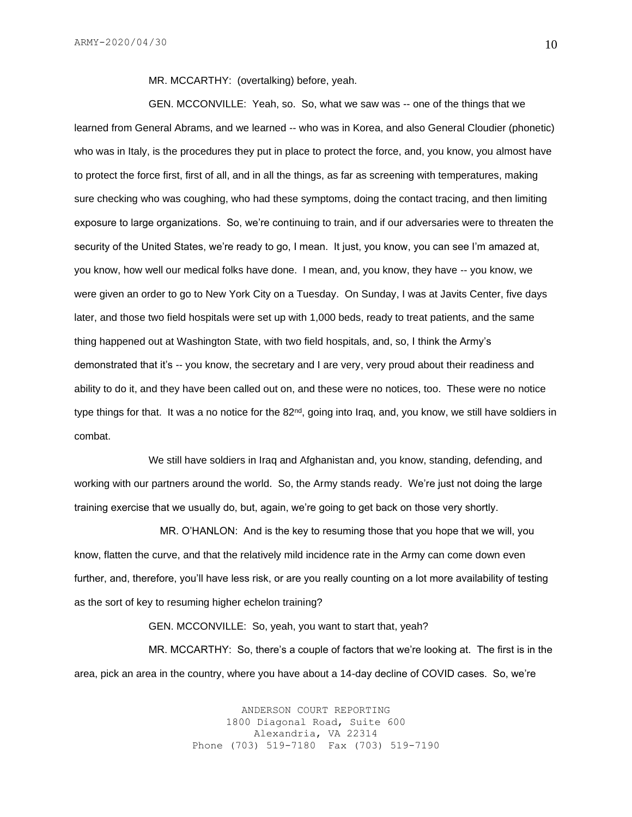MR. MCCARTHY: (overtalking) before, yeah.

GEN. MCCONVILLE: Yeah, so. So, what we saw was -- one of the things that we learned from General Abrams, and we learned -- who was in Korea, and also General Cloudier (phonetic) who was in Italy, is the procedures they put in place to protect the force, and, you know, you almost have to protect the force first, first of all, and in all the things, as far as screening with temperatures, making sure checking who was coughing, who had these symptoms, doing the contact tracing, and then limiting exposure to large organizations. So, we're continuing to train, and if our adversaries were to threaten the security of the United States, we're ready to go, I mean. It just, you know, you can see I'm amazed at, you know, how well our medical folks have done. I mean, and, you know, they have -- you know, we were given an order to go to New York City on a Tuesday. On Sunday, I was at Javits Center, five days later, and those two field hospitals were set up with 1,000 beds, ready to treat patients, and the same thing happened out at Washington State, with two field hospitals, and, so, I think the Army's demonstrated that it's -- you know, the secretary and I are very, very proud about their readiness and ability to do it, and they have been called out on, and these were no notices, too. These were no notice type things for that. It was a no notice for the 82<sup>nd</sup>, going into Iraq, and, you know, we still have soldiers in combat.

We still have soldiers in Iraq and Afghanistan and, you know, standing, defending, and working with our partners around the world. So, the Army stands ready. We're just not doing the large training exercise that we usually do, but, again, we're going to get back on those very shortly.

 MR. O'HANLON: And is the key to resuming those that you hope that we will, you know, flatten the curve, and that the relatively mild incidence rate in the Army can come down even further, and, therefore, you'll have less risk, or are you really counting on a lot more availability of testing as the sort of key to resuming higher echelon training?

GEN. MCCONVILLE: So, yeah, you want to start that, yeah?

MR. MCCARTHY: So, there's a couple of factors that we're looking at. The first is in the area, pick an area in the country, where you have about a 14-day decline of COVID cases. So, we're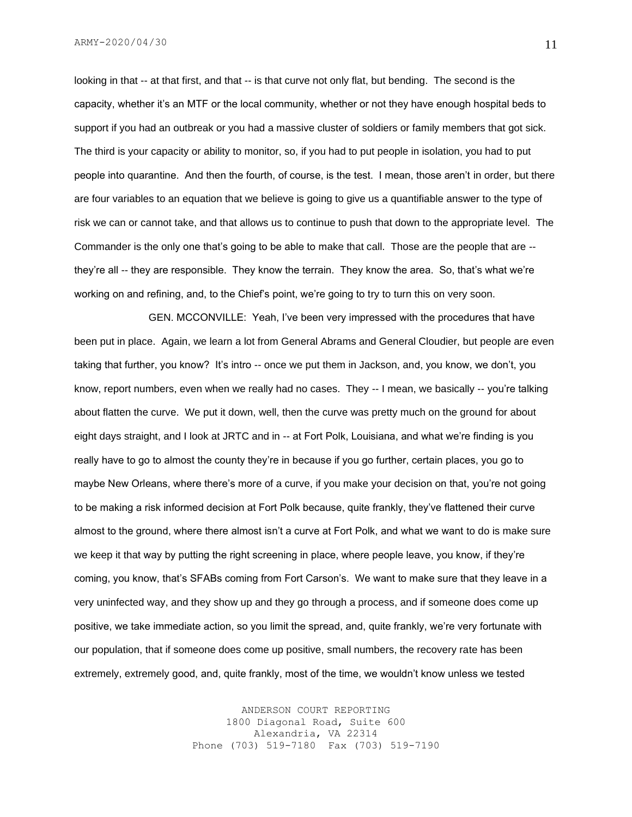looking in that -- at that first, and that -- is that curve not only flat, but bending. The second is the capacity, whether it's an MTF or the local community, whether or not they have enough hospital beds to support if you had an outbreak or you had a massive cluster of soldiers or family members that got sick. The third is your capacity or ability to monitor, so, if you had to put people in isolation, you had to put people into quarantine. And then the fourth, of course, is the test. I mean, those aren't in order, but there are four variables to an equation that we believe is going to give us a quantifiable answer to the type of risk we can or cannot take, and that allows us to continue to push that down to the appropriate level. The Commander is the only one that's going to be able to make that call. Those are the people that are - they're all -- they are responsible. They know the terrain. They know the area. So, that's what we're working on and refining, and, to the Chief's point, we're going to try to turn this on very soon.

GEN. MCCONVILLE: Yeah, I've been very impressed with the procedures that have been put in place. Again, we learn a lot from General Abrams and General Cloudier, but people are even taking that further, you know? It's intro -- once we put them in Jackson, and, you know, we don't, you know, report numbers, even when we really had no cases. They -- I mean, we basically -- you're talking about flatten the curve. We put it down, well, then the curve was pretty much on the ground for about eight days straight, and I look at JRTC and in -- at Fort Polk, Louisiana, and what we're finding is you really have to go to almost the county they're in because if you go further, certain places, you go to maybe New Orleans, where there's more of a curve, if you make your decision on that, you're not going to be making a risk informed decision at Fort Polk because, quite frankly, they've flattened their curve almost to the ground, where there almost isn't a curve at Fort Polk, and what we want to do is make sure we keep it that way by putting the right screening in place, where people leave, you know, if they're coming, you know, that's SFABs coming from Fort Carson's. We want to make sure that they leave in a very uninfected way, and they show up and they go through a process, and if someone does come up positive, we take immediate action, so you limit the spread, and, quite frankly, we're very fortunate with our population, that if someone does come up positive, small numbers, the recovery rate has been extremely, extremely good, and, quite frankly, most of the time, we wouldn't know unless we tested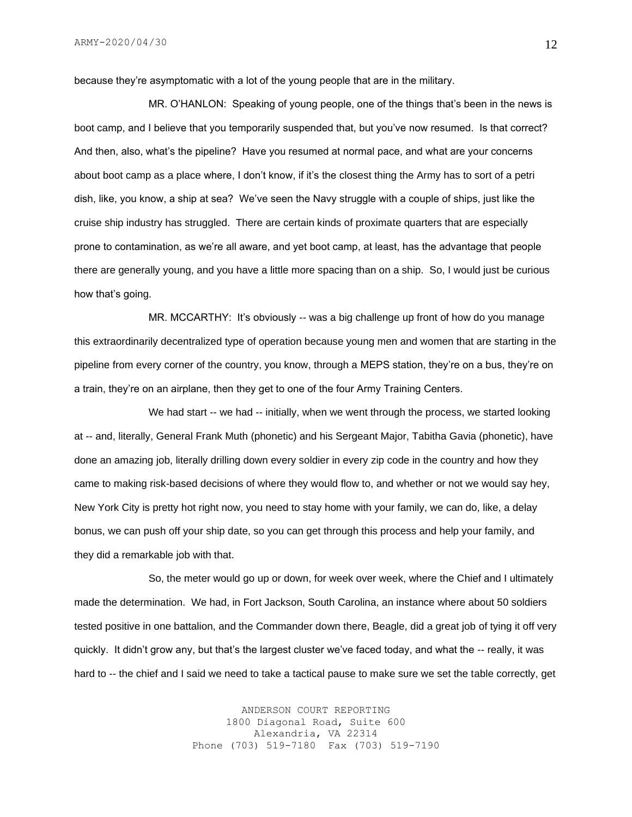because they're asymptomatic with a lot of the young people that are in the military.

MR. O'HANLON: Speaking of young people, one of the things that's been in the news is boot camp, and I believe that you temporarily suspended that, but you've now resumed. Is that correct? And then, also, what's the pipeline? Have you resumed at normal pace, and what are your concerns about boot camp as a place where, I don't know, if it's the closest thing the Army has to sort of a petri dish, like, you know, a ship at sea? We've seen the Navy struggle with a couple of ships, just like the cruise ship industry has struggled. There are certain kinds of proximate quarters that are especially prone to contamination, as we're all aware, and yet boot camp, at least, has the advantage that people there are generally young, and you have a little more spacing than on a ship. So, I would just be curious how that's going.

MR. MCCARTHY: It's obviously -- was a big challenge up front of how do you manage this extraordinarily decentralized type of operation because young men and women that are starting in the pipeline from every corner of the country, you know, through a MEPS station, they're on a bus, they're on a train, they're on an airplane, then they get to one of the four Army Training Centers.

We had start -- we had -- initially, when we went through the process, we started looking at -- and, literally, General Frank Muth (phonetic) and his Sergeant Major, Tabitha Gavia (phonetic), have done an amazing job, literally drilling down every soldier in every zip code in the country and how they came to making risk-based decisions of where they would flow to, and whether or not we would say hey, New York City is pretty hot right now, you need to stay home with your family, we can do, like, a delay bonus, we can push off your ship date, so you can get through this process and help your family, and they did a remarkable job with that.

So, the meter would go up or down, for week over week, where the Chief and I ultimately made the determination. We had, in Fort Jackson, South Carolina, an instance where about 50 soldiers tested positive in one battalion, and the Commander down there, Beagle, did a great job of tying it off very quickly. It didn't grow any, but that's the largest cluster we've faced today, and what the -- really, it was hard to -- the chief and I said we need to take a tactical pause to make sure we set the table correctly, get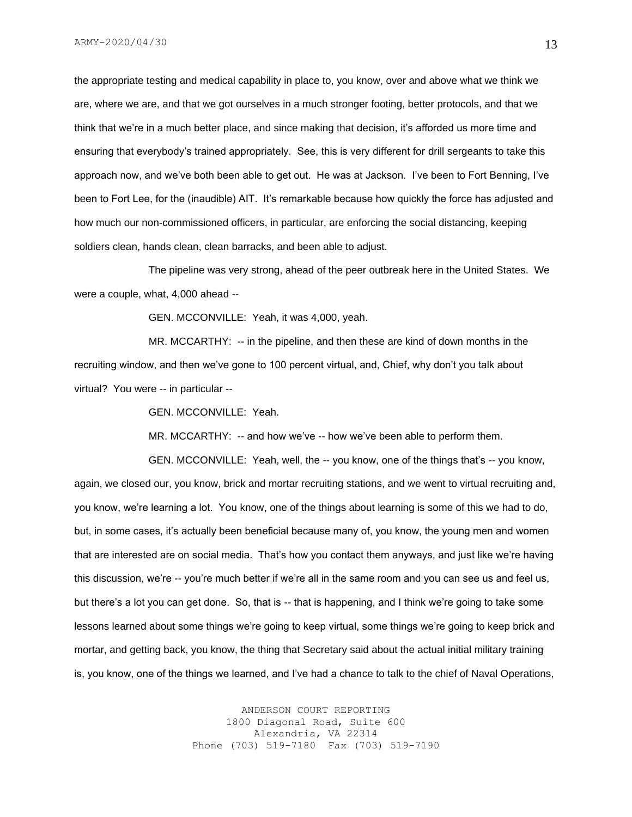the appropriate testing and medical capability in place to, you know, over and above what we think we are, where we are, and that we got ourselves in a much stronger footing, better protocols, and that we think that we're in a much better place, and since making that decision, it's afforded us more time and ensuring that everybody's trained appropriately. See, this is very different for drill sergeants to take this approach now, and we've both been able to get out. He was at Jackson. I've been to Fort Benning, I've been to Fort Lee, for the (inaudible) AIT. It's remarkable because how quickly the force has adjusted and how much our non-commissioned officers, in particular, are enforcing the social distancing, keeping soldiers clean, hands clean, clean barracks, and been able to adjust.

The pipeline was very strong, ahead of the peer outbreak here in the United States. We were a couple, what, 4,000 ahead --

GEN. MCCONVILLE: Yeah, it was 4,000, yeah.

MR. MCCARTHY: -- in the pipeline, and then these are kind of down months in the recruiting window, and then we've gone to 100 percent virtual, and, Chief, why don't you talk about virtual? You were -- in particular --

GEN. MCCONVILLE: Yeah.

MR. MCCARTHY: -- and how we've -- how we've been able to perform them.

GEN. MCCONVILLE: Yeah, well, the -- you know, one of the things that's -- you know, again, we closed our, you know, brick and mortar recruiting stations, and we went to virtual recruiting and, you know, we're learning a lot. You know, one of the things about learning is some of this we had to do, but, in some cases, it's actually been beneficial because many of, you know, the young men and women that are interested are on social media. That's how you contact them anyways, and just like we're having this discussion, we're -- you're much better if we're all in the same room and you can see us and feel us, but there's a lot you can get done. So, that is -- that is happening, and I think we're going to take some lessons learned about some things we're going to keep virtual, some things we're going to keep brick and mortar, and getting back, you know, the thing that Secretary said about the actual initial military training is, you know, one of the things we learned, and I've had a chance to talk to the chief of Naval Operations,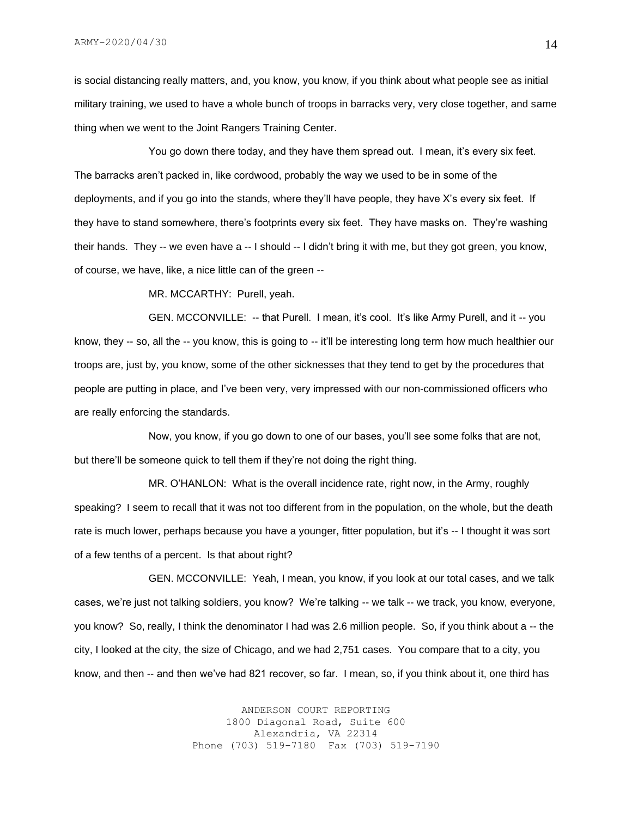is social distancing really matters, and, you know, you know, if you think about what people see as initial military training, we used to have a whole bunch of troops in barracks very, very close together, and same thing when we went to the Joint Rangers Training Center.

You go down there today, and they have them spread out. I mean, it's every six feet. The barracks aren't packed in, like cordwood, probably the way we used to be in some of the deployments, and if you go into the stands, where they'll have people, they have X's every six feet. If they have to stand somewhere, there's footprints every six feet. They have masks on. They're washing their hands. They -- we even have a -- I should -- I didn't bring it with me, but they got green, you know, of course, we have, like, a nice little can of the green --

MR. MCCARTHY: Purell, yeah.

GEN. MCCONVILLE: -- that Purell. I mean, it's cool. It's like Army Purell, and it -- you know, they -- so, all the -- you know, this is going to -- it'll be interesting long term how much healthier our troops are, just by, you know, some of the other sicknesses that they tend to get by the procedures that people are putting in place, and I've been very, very impressed with our non-commissioned officers who are really enforcing the standards.

Now, you know, if you go down to one of our bases, you'll see some folks that are not, but there'll be someone quick to tell them if they're not doing the right thing.

MR. O'HANLON: What is the overall incidence rate, right now, in the Army, roughly speaking? I seem to recall that it was not too different from in the population, on the whole, but the death rate is much lower, perhaps because you have a younger, fitter population, but it's -- I thought it was sort of a few tenths of a percent. Is that about right?

GEN. MCCONVILLE: Yeah, I mean, you know, if you look at our total cases, and we talk cases, we're just not talking soldiers, you know? We're talking -- we talk -- we track, you know, everyone, you know? So, really, I think the denominator I had was 2.6 million people. So, if you think about a -- the city, I looked at the city, the size of Chicago, and we had 2,751 cases. You compare that to a city, you know, and then -- and then we've had 821 recover, so far. I mean, so, if you think about it, one third has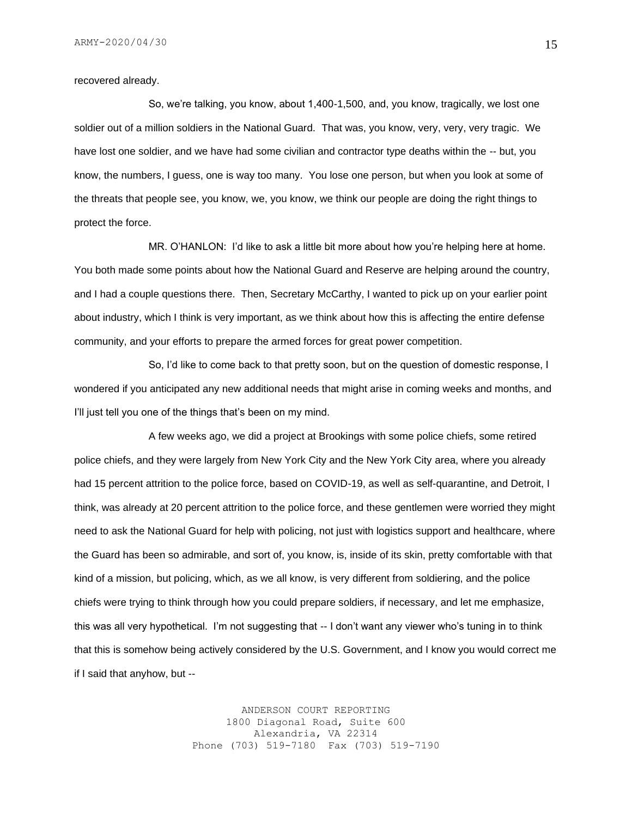recovered already.

So, we're talking, you know, about 1,400-1,500, and, you know, tragically, we lost one soldier out of a million soldiers in the National Guard. That was, you know, very, very, very tragic. We have lost one soldier, and we have had some civilian and contractor type deaths within the -- but, you know, the numbers, I guess, one is way too many. You lose one person, but when you look at some of the threats that people see, you know, we, you know, we think our people are doing the right things to protect the force.

MR. O'HANLON: I'd like to ask a little bit more about how you're helping here at home. You both made some points about how the National Guard and Reserve are helping around the country, and I had a couple questions there. Then, Secretary McCarthy, I wanted to pick up on your earlier point about industry, which I think is very important, as we think about how this is affecting the entire defense community, and your efforts to prepare the armed forces for great power competition.

So, I'd like to come back to that pretty soon, but on the question of domestic response, I wondered if you anticipated any new additional needs that might arise in coming weeks and months, and I'll just tell you one of the things that's been on my mind.

A few weeks ago, we did a project at Brookings with some police chiefs, some retired police chiefs, and they were largely from New York City and the New York City area, where you already had 15 percent attrition to the police force, based on COVID-19, as well as self-quarantine, and Detroit, I think, was already at 20 percent attrition to the police force, and these gentlemen were worried they might need to ask the National Guard for help with policing, not just with logistics support and healthcare, where the Guard has been so admirable, and sort of, you know, is, inside of its skin, pretty comfortable with that kind of a mission, but policing, which, as we all know, is very different from soldiering, and the police chiefs were trying to think through how you could prepare soldiers, if necessary, and let me emphasize, this was all very hypothetical. I'm not suggesting that -- I don't want any viewer who's tuning in to think that this is somehow being actively considered by the U.S. Government, and I know you would correct me if I said that anyhow, but --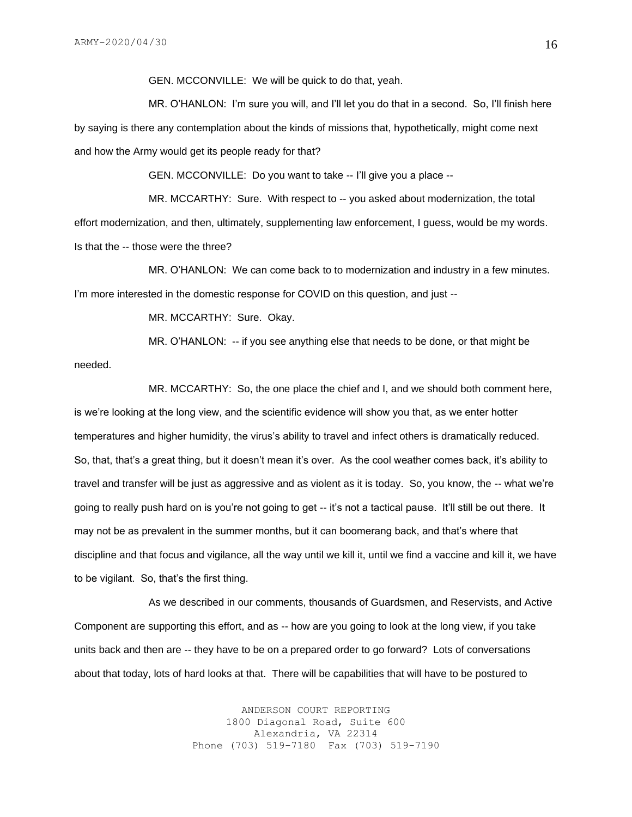GEN. MCCONVILLE: We will be quick to do that, yeah.

MR. O'HANLON: I'm sure you will, and I'll let you do that in a second. So, I'll finish here by saying is there any contemplation about the kinds of missions that, hypothetically, might come next and how the Army would get its people ready for that?

GEN. MCCONVILLE: Do you want to take -- I'll give you a place --

MR. MCCARTHY: Sure. With respect to -- you asked about modernization, the total effort modernization, and then, ultimately, supplementing law enforcement, I guess, would be my words. Is that the -- those were the three?

MR. O'HANLON: We can come back to to modernization and industry in a few minutes. I'm more interested in the domestic response for COVID on this question, and just --

MR. MCCARTHY: Sure. Okay.

MR. O'HANLON: -- if you see anything else that needs to be done, or that might be needed.

MR. MCCARTHY: So, the one place the chief and I, and we should both comment here, is we're looking at the long view, and the scientific evidence will show you that, as we enter hotter temperatures and higher humidity, the virus's ability to travel and infect others is dramatically reduced. So, that, that's a great thing, but it doesn't mean it's over. As the cool weather comes back, it's ability to travel and transfer will be just as aggressive and as violent as it is today. So, you know, the -- what we're going to really push hard on is you're not going to get -- it's not a tactical pause. It'll still be out there. It may not be as prevalent in the summer months, but it can boomerang back, and that's where that discipline and that focus and vigilance, all the way until we kill it, until we find a vaccine and kill it, we have to be vigilant. So, that's the first thing.

As we described in our comments, thousands of Guardsmen, and Reservists, and Active Component are supporting this effort, and as -- how are you going to look at the long view, if you take units back and then are -- they have to be on a prepared order to go forward? Lots of conversations about that today, lots of hard looks at that. There will be capabilities that will have to be postured to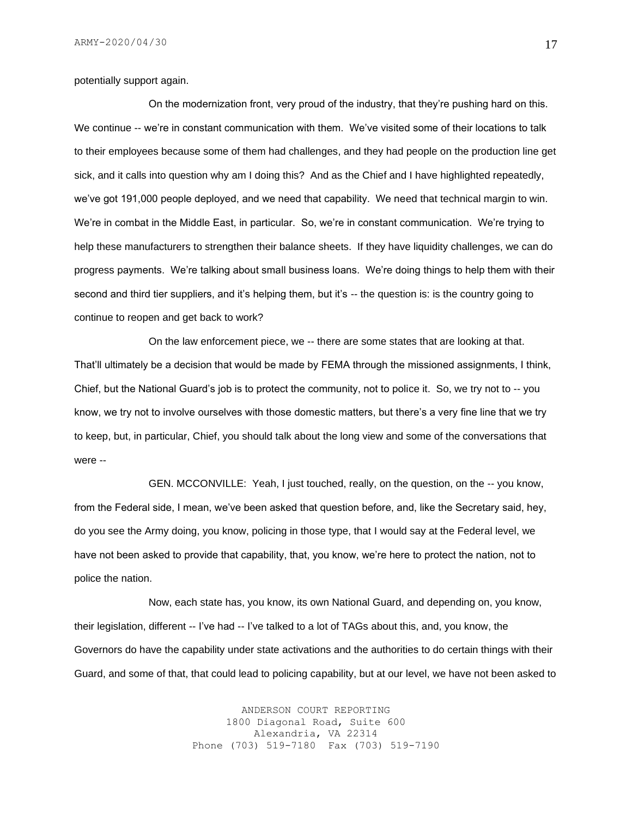potentially support again.

On the modernization front, very proud of the industry, that they're pushing hard on this. We continue -- we're in constant communication with them. We've visited some of their locations to talk to their employees because some of them had challenges, and they had people on the production line get sick, and it calls into question why am I doing this? And as the Chief and I have highlighted repeatedly, we've got 191,000 people deployed, and we need that capability. We need that technical margin to win. We're in combat in the Middle East, in particular. So, we're in constant communication. We're trying to help these manufacturers to strengthen their balance sheets. If they have liquidity challenges, we can do progress payments. We're talking about small business loans. We're doing things to help them with their second and third tier suppliers, and it's helping them, but it's -- the question is: is the country going to continue to reopen and get back to work?

On the law enforcement piece, we -- there are some states that are looking at that. That'll ultimately be a decision that would be made by FEMA through the missioned assignments, I think, Chief, but the National Guard's job is to protect the community, not to police it. So, we try not to -- you know, we try not to involve ourselves with those domestic matters, but there's a very fine line that we try to keep, but, in particular, Chief, you should talk about the long view and some of the conversations that were --

GEN. MCCONVILLE: Yeah, I just touched, really, on the question, on the -- you know, from the Federal side, I mean, we've been asked that question before, and, like the Secretary said, hey, do you see the Army doing, you know, policing in those type, that I would say at the Federal level, we have not been asked to provide that capability, that, you know, we're here to protect the nation, not to police the nation.

Now, each state has, you know, its own National Guard, and depending on, you know, their legislation, different -- I've had -- I've talked to a lot of TAGs about this, and, you know, the Governors do have the capability under state activations and the authorities to do certain things with their Guard, and some of that, that could lead to policing capability, but at our level, we have not been asked to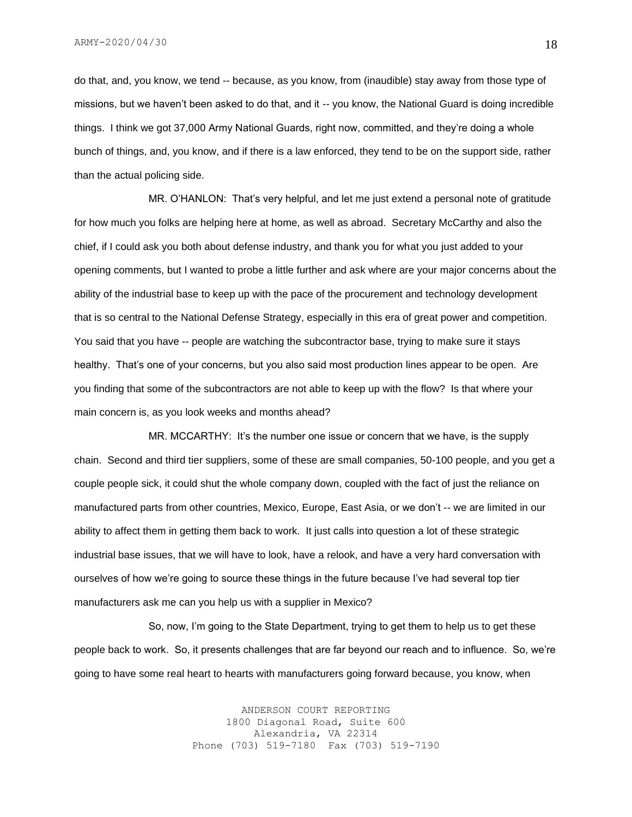do that, and, you know, we tend -- because, as you know, from (inaudible) stay away from those type of missions, but we haven't been asked to do that, and it -- you know, the National Guard is doing incredible things. I think we got 37,000 Army National Guards, right now, committed, and they're doing a whole bunch of things, and, you know, and if there is a law enforced, they tend to be on the support side, rather than the actual policing side.

MR. O'HANLON: That's very helpful, and let me just extend a personal note of gratitude for how much you folks are helping here at home, as well as abroad. Secretary McCarthy and also the chief, if I could ask you both about defense industry, and thank you for what you just added to your opening comments, but I wanted to probe a little further and ask where are your major concerns about the ability of the industrial base to keep up with the pace of the procurement and technology development that is so central to the National Defense Strategy, especially in this era of great power and competition. You said that you have -- people are watching the subcontractor base, trying to make sure it stays healthy. That's one of your concerns, but you also said most production lines appear to be open. Are you finding that some of the subcontractors are not able to keep up with the flow? Is that where your main concern is, as you look weeks and months ahead?

MR. MCCARTHY: It's the number one issue or concern that we have, is the supply chain. Second and third tier suppliers, some of these are small companies, 50-100 people, and you get a couple people sick, it could shut the whole company down, coupled with the fact of just the reliance on manufactured parts from other countries, Mexico, Europe, East Asia, or we don't -- we are limited in our ability to affect them in getting them back to work. It just calls into question a lot of these strategic industrial base issues, that we will have to look, have a relook, and have a very hard conversation with ourselves of how we're going to source these things in the future because I've had several top tier manufacturers ask me can you help us with a supplier in Mexico?

So, now, I'm going to the State Department, trying to get them to help us to get these people back to work. So, it presents challenges that are far beyond our reach and to influence. So, we're going to have some real heart to hearts with manufacturers going forward because, you know, when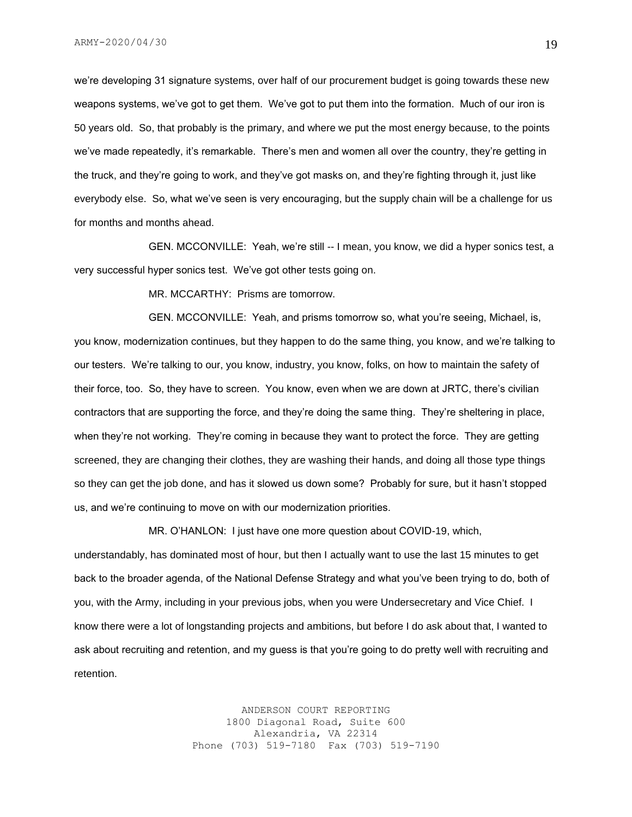we're developing 31 signature systems, over half of our procurement budget is going towards these new weapons systems, we've got to get them. We've got to put them into the formation. Much of our iron is 50 years old. So, that probably is the primary, and where we put the most energy because, to the points we've made repeatedly, it's remarkable. There's men and women all over the country, they're getting in the truck, and they're going to work, and they've got masks on, and they're fighting through it, just like everybody else. So, what we've seen is very encouraging, but the supply chain will be a challenge for us for months and months ahead.

GEN. MCCONVILLE: Yeah, we're still -- I mean, you know, we did a hyper sonics test, a very successful hyper sonics test. We've got other tests going on.

MR. MCCARTHY: Prisms are tomorrow.

GEN. MCCONVILLE: Yeah, and prisms tomorrow so, what you're seeing, Michael, is, you know, modernization continues, but they happen to do the same thing, you know, and we're talking to our testers. We're talking to our, you know, industry, you know, folks, on how to maintain the safety of their force, too. So, they have to screen. You know, even when we are down at JRTC, there's civilian contractors that are supporting the force, and they're doing the same thing. They're sheltering in place, when they're not working. They're coming in because they want to protect the force. They are getting screened, they are changing their clothes, they are washing their hands, and doing all those type things so they can get the job done, and has it slowed us down some? Probably for sure, but it hasn't stopped us, and we're continuing to move on with our modernization priorities.

MR. O'HANLON: I just have one more question about COVID-19, which,

understandably, has dominated most of hour, but then I actually want to use the last 15 minutes to get back to the broader agenda, of the National Defense Strategy and what you've been trying to do, both of you, with the Army, including in your previous jobs, when you were Undersecretary and Vice Chief. I know there were a lot of longstanding projects and ambitions, but before I do ask about that, I wanted to ask about recruiting and retention, and my guess is that you're going to do pretty well with recruiting and retention.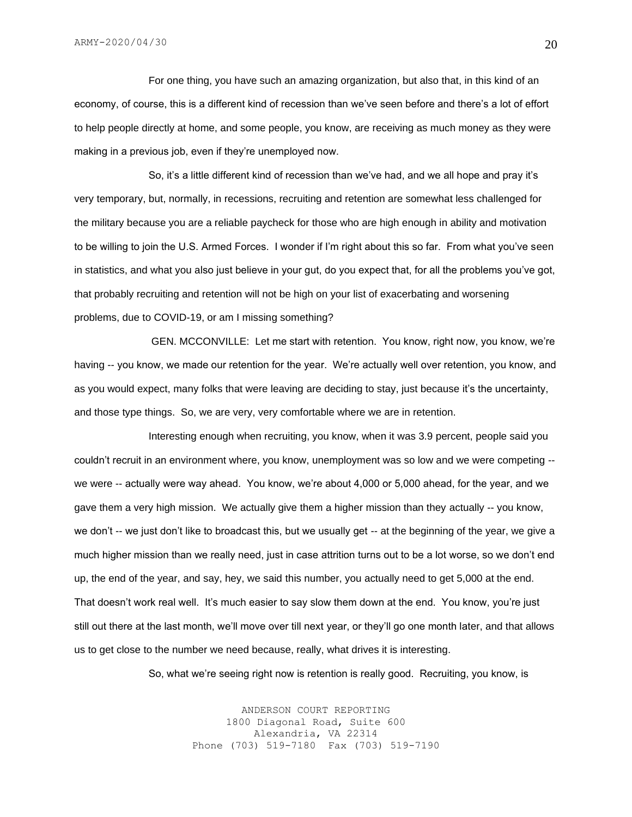For one thing, you have such an amazing organization, but also that, in this kind of an economy, of course, this is a different kind of recession than we've seen before and there's a lot of effort to help people directly at home, and some people, you know, are receiving as much money as they were making in a previous job, even if they're unemployed now.

So, it's a little different kind of recession than we've had, and we all hope and pray it's very temporary, but, normally, in recessions, recruiting and retention are somewhat less challenged for the military because you are a reliable paycheck for those who are high enough in ability and motivation to be willing to join the U.S. Armed Forces. I wonder if I'm right about this so far. From what you've seen in statistics, and what you also just believe in your gut, do you expect that, for all the problems you've got, that probably recruiting and retention will not be high on your list of exacerbating and worsening problems, due to COVID-19, or am I missing something?

GEN. MCCONVILLE: Let me start with retention. You know, right now, you know, we're having -- you know, we made our retention for the year. We're actually well over retention, you know, and as you would expect, many folks that were leaving are deciding to stay, just because it's the uncertainty, and those type things. So, we are very, very comfortable where we are in retention.

Interesting enough when recruiting, you know, when it was 3.9 percent, people said you couldn't recruit in an environment where, you know, unemployment was so low and we were competing - we were -- actually were way ahead. You know, we're about 4,000 or 5,000 ahead, for the year, and we gave them a very high mission. We actually give them a higher mission than they actually -- you know, we don't -- we just don't like to broadcast this, but we usually get -- at the beginning of the year, we give a much higher mission than we really need, just in case attrition turns out to be a lot worse, so we don't end up, the end of the year, and say, hey, we said this number, you actually need to get 5,000 at the end. That doesn't work real well. It's much easier to say slow them down at the end. You know, you're just still out there at the last month, we'll move over till next year, or they'll go one month later, and that allows us to get close to the number we need because, really, what drives it is interesting.

So, what we're seeing right now is retention is really good. Recruiting, you know, is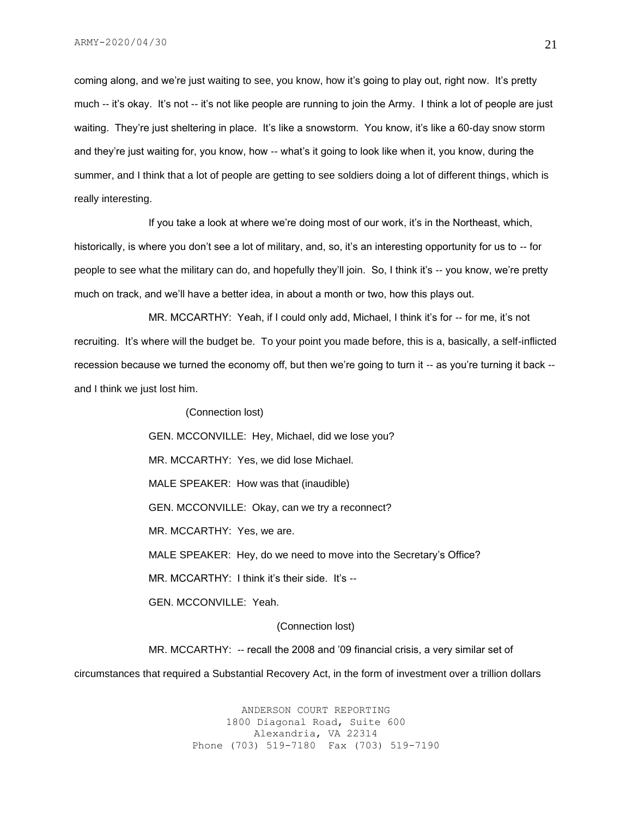coming along, and we're just waiting to see, you know, how it's going to play out, right now. It's pretty much -- it's okay. It's not -- it's not like people are running to join the Army. I think a lot of people are just waiting. They're just sheltering in place. It's like a snowstorm. You know, it's like a 60-day snow storm and they're just waiting for, you know, how -- what's it going to look like when it, you know, during the summer, and I think that a lot of people are getting to see soldiers doing a lot of different things, which is really interesting.

If you take a look at where we're doing most of our work, it's in the Northeast, which, historically, is where you don't see a lot of military, and, so, it's an interesting opportunity for us to -- for people to see what the military can do, and hopefully they'll join. So, I think it's -- you know, we're pretty much on track, and we'll have a better idea, in about a month or two, how this plays out.

MR. MCCARTHY: Yeah, if I could only add, Michael, I think it's for -- for me, it's not recruiting. It's where will the budget be. To your point you made before, this is a, basically, a self-inflicted recession because we turned the economy off, but then we're going to turn it -- as you're turning it back - and I think we just lost him.

(Connection lost)

GEN. MCCONVILLE: Hey, Michael, did we lose you?

MR. MCCARTHY: Yes, we did lose Michael.

MALE SPEAKER: How was that (inaudible)

GEN. MCCONVILLE: Okay, can we try a reconnect?

MR. MCCARTHY: Yes, we are.

MALE SPEAKER: Hey, do we need to move into the Secretary's Office?

MR. MCCARTHY: I think it's their side. It's --

GEN. MCCONVILLE: Yeah.

#### (Connection lost)

MR. MCCARTHY: -- recall the 2008 and '09 financial crisis, a very similar set of circumstances that required a Substantial Recovery Act, in the form of investment over a trillion dollars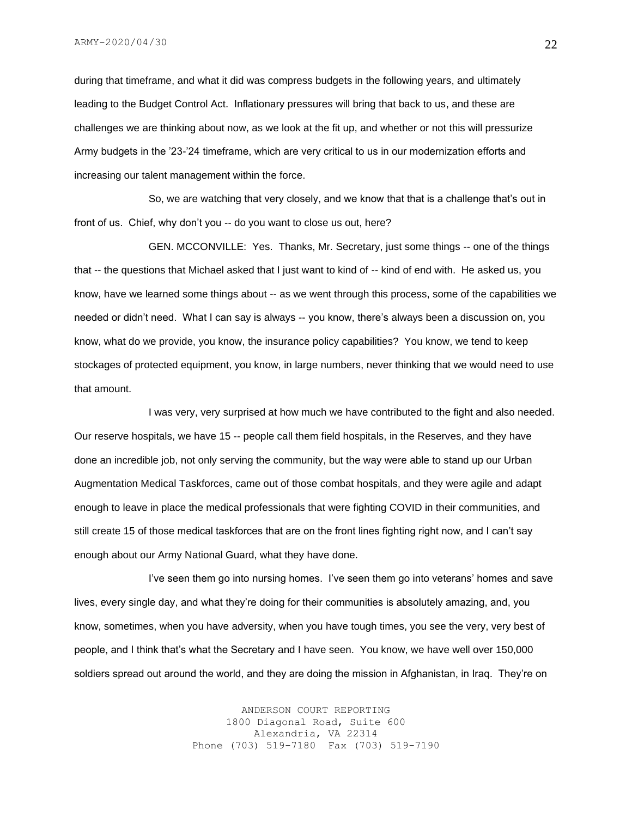during that timeframe, and what it did was compress budgets in the following years, and ultimately leading to the Budget Control Act. Inflationary pressures will bring that back to us, and these are challenges we are thinking about now, as we look at the fit up, and whether or not this will pressurize Army budgets in the '23-'24 timeframe, which are very critical to us in our modernization efforts and increasing our talent management within the force.

So, we are watching that very closely, and we know that that is a challenge that's out in front of us. Chief, why don't you -- do you want to close us out, here?

GEN. MCCONVILLE: Yes. Thanks, Mr. Secretary, just some things -- one of the things that -- the questions that Michael asked that I just want to kind of -- kind of end with. He asked us, you know, have we learned some things about -- as we went through this process, some of the capabilities we needed or didn't need. What I can say is always -- you know, there's always been a discussion on, you know, what do we provide, you know, the insurance policy capabilities? You know, we tend to keep stockages of protected equipment, you know, in large numbers, never thinking that we would need to use that amount.

I was very, very surprised at how much we have contributed to the fight and also needed. Our reserve hospitals, we have 15 -- people call them field hospitals, in the Reserves, and they have done an incredible job, not only serving the community, but the way were able to stand up our Urban Augmentation Medical Taskforces, came out of those combat hospitals, and they were agile and adapt enough to leave in place the medical professionals that were fighting COVID in their communities, and still create 15 of those medical taskforces that are on the front lines fighting right now, and I can't say enough about our Army National Guard, what they have done.

I've seen them go into nursing homes. I've seen them go into veterans' homes and save lives, every single day, and what they're doing for their communities is absolutely amazing, and, you know, sometimes, when you have adversity, when you have tough times, you see the very, very best of people, and I think that's what the Secretary and I have seen. You know, we have well over 150,000 soldiers spread out around the world, and they are doing the mission in Afghanistan, in Iraq. They're on